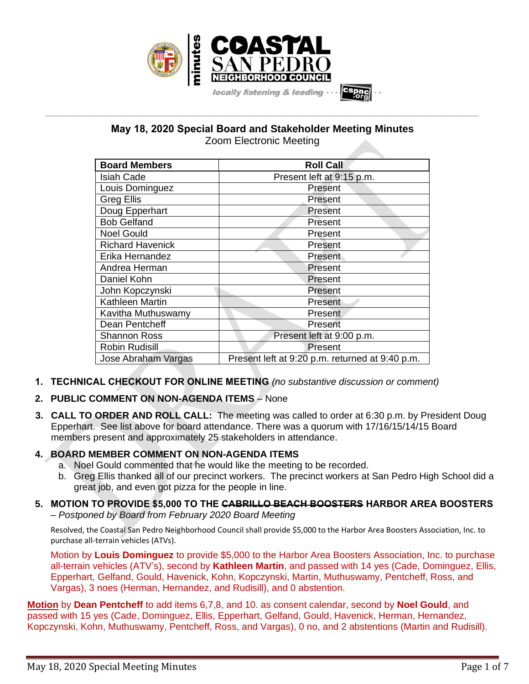

# **May 18, 2020 Special Board and Stakeholder Meeting Minutes** Zoom Electronic Meeting

**\_\_\_\_\_\_\_\_\_\_\_\_\_\_\_\_\_\_\_\_\_\_\_\_\_\_\_\_\_\_\_\_\_\_\_\_\_\_\_\_\_\_\_\_\_\_\_\_\_\_\_\_\_\_\_\_\_\_\_\_\_\_\_\_\_\_\_\_\_\_\_\_\_\_\_\_\_\_\_\_\_\_\_\_\_\_\_\_\_\_\_\_\_\_\_\_\_\_\_\_\_\_\_\_\_\_\_\_\_\_\_\_\_**

| <b>Board Members</b>    | <b>Roll Call</b>                                |
|-------------------------|-------------------------------------------------|
| <b>Isiah Cade</b>       | Present left at 9:15 p.m.                       |
| Louis Dominguez         | Present                                         |
| <b>Greg Ellis</b>       | Present                                         |
| Doug Epperhart          | Present                                         |
| <b>Bob Gelfand</b>      | Present                                         |
| <b>Noel Gould</b>       | Present                                         |
| <b>Richard Havenick</b> | Present                                         |
| Erika Hernandez         | Present                                         |
| Andrea Herman           | Present                                         |
| Daniel Kohn             | Present                                         |
| John Kopczynski         | Present                                         |
| Kathleen Martin         | Present                                         |
| Kavitha Muthuswamy      | Present                                         |
| Dean Pentcheff          | Present                                         |
| <b>Shannon Ross</b>     | Present left at 9:00 p.m.                       |
| <b>Robin Rudisill</b>   | Present                                         |
| Jose Abraham Vargas     | Present left at 9:20 p.m. returned at 9:40 p.m. |

- **1. TECHNICAL CHECKOUT FOR ONLINE MEETING** *(no substantive discussion or comment)*
- **2. PUBLIC COMMENT ON NON-AGENDA ITEMS** None
- **3. CALL TO ORDER AND ROLL CALL:** The meeting was called to order at 6:30 p.m. by President Doug Epperhart. See list above for board attendance. There was a quorum with 17/16/15/14/15 Board members present and approximately 25 stakeholders in attendance.

# **4. BOARD MEMBER COMMENT ON NON-AGENDA ITEMS**

- a. Noel Gould commented that he would like the meeting to be recorded.
- b. Greg Ellis thanked all of our precinct workers. The precinct workers at San Pedro High School did a great job, and even got pizza for the people in line.

# **5. MOTION TO PROVIDE \$5,000 TO THE CABRILLO BEACH BOOSTERS HARBOR AREA BOOSTERS** – *Postponed by Board from February 2020 Board Meeting*

Resolved, the Coastal San Pedro Neighborhood Council shall provide \$5,000 to the Harbor Area Boosters Association, Inc. to purchase all-terrain vehicles (ATVs).

Motion by **Louis Dominguez** to provide \$5,000 to the Harbor Area Boosters Association, Inc. to purchase all-terrain vehicles (ATV's), second by **Kathleen Martin**, and passed with 14 yes (Cade, Dominguez, Ellis, Epperhart, Gelfand, Gould, Havenick, Kohn, Kopczynski, Martin, Muthuswamy, Pentcheff, Ross, and Vargas), 3 noes (Herman, Hernandez, and Rudisill), and 0 abstention.

**Motion** by **Dean Pentcheff** to add items 6,7,8, and 10. as consent calendar, second by **Noel Gould**, and passed with 15 yes (Cade, Dominguez, Ellis, Epperhart, Gelfand, Gould, Havenick, Herman, Hernandez, Kopczynski, Kohn, Muthuswamy, Pentcheff, Ross, and Vargas), 0 no, and 2 abstentions (Martin and Rudisill).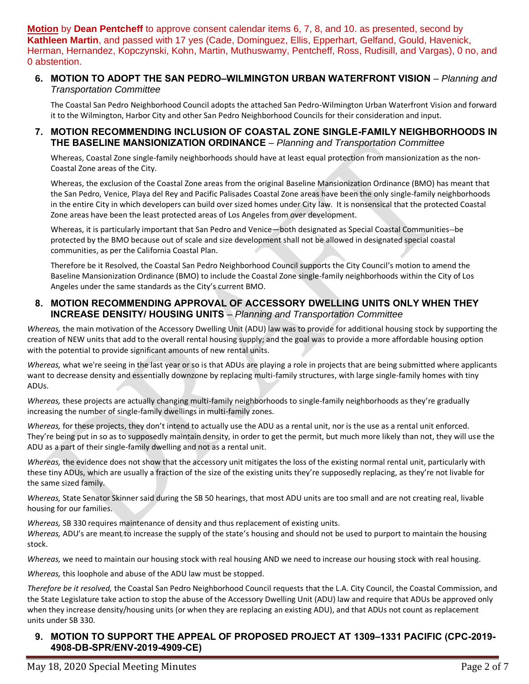**Motion** by **Dean Pentcheff** to approve consent calendar items 6, 7, 8, and 10. as presented, second by **Kathleen Martin**, and passed with 17 yes (Cade, Dominguez, Ellis, Epperhart, Gelfand, Gould, Havenick, Herman, Hernandez, Kopczynski, Kohn, Martin, Muthuswamy, Pentcheff, Ross, Rudisill, and Vargas), 0 no, and 0 abstention.

#### **6. MOTION TO ADOPT THE SAN PEDRO–WILMINGTON URBAN WATERFRONT VISION** – *Planning and Transportation Committee*

The Coastal San Pedro Neighborhood Council adopts the attached San Pedro-Wilmington Urban Waterfront Vision and forward it to the Wilmington, Harbor City and other San Pedro Neighborhood Councils for their consideration and input.

#### **7. MOTION RECOMMENDING INCLUSION OF COASTAL ZONE SINGLE-FAMILY NEIGHBORHOODS IN THE BASELINE MANSIONIZATION ORDINANCE** – *Planning and Transportation Committee*

Whereas, Coastal Zone single-family neighborhoods should have at least equal protection from mansionization as the non-Coastal Zone areas of the City.

Whereas, the exclusion of the Coastal Zone areas from the original Baseline Mansionization Ordinance (BMO) has meant that the San Pedro, Venice, Playa del Rey and Pacific Palisades Coastal Zone areas have been the only single-family neighborhoods in the entire City in which developers can build over sized homes under City law. It is nonsensical that the protected Coastal Zone areas have been the least protected areas of Los Angeles from over development.

Whereas, it is particularly important that San Pedro and Venice—both designated as Special Coastal Communities--be protected by the BMO because out of scale and size development shall not be allowed in designated special coastal communities, as per the California Coastal Plan.

Therefore be it Resolved, the Coastal San Pedro Neighborhood Council supports the City Council's motion to amend the Baseline Mansionization Ordinance (BMO) to include the Coastal Zone single-family neighborhoods within the City of Los Angeles under the same standards as the City's current BMO.

#### **8. MOTION RECOMMENDING APPROVAL OF ACCESSORY DWELLING UNITS ONLY WHEN THEY INCREASE DENSITY/ HOUSING UNITS** – *Planning and Transportation Committee*

*Whereas,* the main motivation of the Accessory Dwelling Unit (ADU) law was to provide for additional housing stock by supporting the creation of NEW units that add to the overall rental housing supply; and the goal was to provide a more affordable housing option with the potential to provide significant amounts of new rental units.

*Whereas,* what we're seeing in the last year or so is that ADUs are playing a role in projects that are being submitted where applicants want to decrease density and essentially downzone by replacing multi-family structures, with large single-family homes with tiny ADUs.

*Whereas,* these projects are actually changing multi-family neighborhoods to single-family neighborhoods as they're gradually increasing the number of single-family dwellings in multi-family zones.

*Whereas,* for these projects, they don't intend to actually use the ADU as a rental unit, nor is the use as a rental unit enforced. They're being put in so as to supposedly maintain density, in order to get the permit, but much more likely than not, they will use the ADU as a part of their single-family dwelling and not as a rental unit.

*Whereas,* the evidence does not show that the accessory unit mitigates the loss of the existing normal rental unit, particularly with these tiny ADUs, which are usually a fraction of the size of the existing units they're supposedly replacing, as they're not livable for the same sized family.

*Whereas,* State Senator Skinner said during the SB 50 hearings, that most ADU units are too small and are not creating real, livable housing for our families.

*Whereas,* SB 330 requires maintenance of density and thus replacement of existing units.

*Whereas,* ADU's are meant to increase the supply of the state's housing and should not be used to purport to maintain the housing stock.

*Whereas,* we need to maintain our housing stock with real housing AND we need to increase our housing stock with real housing.

*Whereas,* this loophole and abuse of the ADU law must be stopped.

*Therefore be it resolved,* the Coastal San Pedro Neighborhood Council requests that the L.A. City Council, the Coastal Commission, and the State Legislature take action to stop the abuse of the Accessory Dwelling Unit (ADU) law and require that ADUs be approved only when they increase density/housing units (or when they are replacing an existing ADU), and that ADUs not count as replacement units under SB 330.

# **9. MOTION TO SUPPORT THE APPEAL OF PROPOSED PROJECT AT 1309–1331 PACIFIC (CPC-2019- 4908-DB-SPR/ENV-2019-4909-CE)**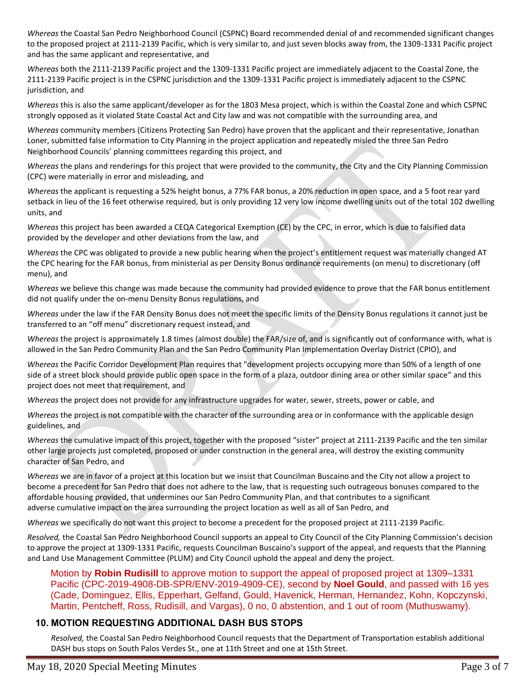*Whereas* the Coastal San Pedro Neighborhood Council (CSPNC) Board recommended denial of and recommended significant changes to the proposed project at 2111-2139 Pacific, which is very similar to, and just seven blocks away from, the 1309-1331 Pacific project and has the same applicant and representative, and

*Whereas* both the 2111-2139 Pacific project and the 1309-1331 Pacific project are immediately adjacent to the Coastal Zone, the 2111-2139 Pacific project is in the CSPNC jurisdiction and the 1309-1331 Pacific project is immediately adjacent to the CSPNC jurisdiction, and

*Whereas* this is also the same applicant/developer as for the 1803 Mesa project, which is within the Coastal Zone and which CSPNC strongly opposed as it violated State Coastal Act and City law and was not compatible with the surrounding area, and

*Whereas* community members (Citizens Protecting San Pedro) have proven that the applicant and their representative, Jonathan Loner, submitted false information to City Planning in the project application and repeatedly misled the three San Pedro Neighborhood Councils' planning committees regarding this project, and

*Whereas* the plans and renderings for this project that were provided to the community, the City and the City Planning Commission (CPC) were materially in error and misleading, and

*Whereas* the applicant is requesting a 52% height bonus, a 77% FAR bonus, a 20% reduction in open space, and a 5 foot rear yard setback in lieu of the 16 feet otherwise required, but is only providing 12 very low income dwelling units out of the total 102 dwelling units, and

*Whereas* this project has been awarded a CEQA Categorical Exemption (CE) by the CPC, in error, which is due to falsified data provided by the developer and other deviations from the law, and

*Whereas* the CPC was obligated to provide a new public hearing when the project's entitlement request was materially changed AT the CPC hearing for the FAR bonus, from ministerial as per Density Bonus ordinance requirements (on menu) to discretionary (off menu), and

*Whereas* we believe this change was made because the community had provided evidence to prove that the FAR bonus entitlement did not qualify under the on-menu Density Bonus regulations, and

*Whereas* under the law if the FAR Density Bonus does not meet the specific limits of the Density Bonus regulations it cannot just be transferred to an "off menu" discretionary request instead, and

*Whereas* the project is approximately 1.8 times (almost double) the FAR/size of, and is significantly out of conformance with, what is allowed in the San Pedro Community Plan and the San Pedro Community Plan Implementation Overlay District (CPIO), and

*Whereas* the Pacific Corridor Development Plan requires that "development projects occupying more than 50% of a length of one side of a street block should provide public open space in the form of a plaza, outdoor dining area or other similar space" and this project does not meet that requirement, and

*Whereas* the project does not provide for any infrastructure upgrades for water, sewer, streets, power or cable, and

*Whereas* the project is not compatible with the character of the surrounding area or in conformance with the applicable design guidelines, and

*Whereas* the cumulative impact of this project, together with the proposed "sister" project at 2111-2139 Pacific and the ten similar other large projects just completed, proposed or under construction in the general area, will destroy the existing community character of San Pedro, and

*Whereas* we are in favor of a project at this location but we insist that Councilman Buscaino and the City not allow a project to become a precedent for San Pedro that does not adhere to the law, that is requesting such outrageous bonuses compared to the affordable housing provided, that undermines our San Pedro Community Plan, and that contributes to a significant adverse cumulative impact on the area surrounding the project location as well as all of San Pedro, and

*Whereas* we specifically do not want this project to become a precedent for the proposed project at 2111-2139 Pacific.

*Resolved,* the Coastal San Pedro Neighborhood Council supports an appeal to City Council of the City Planning Commission's decision to approve the project at 1309-1331 Pacific, requests Councilman Buscaino's support of the appeal, and requests that the Planning and Land Use Management Committee (PLUM) and City Council uphold the appeal and deny the project.

Motion by **Robin Rudisill** to approve motion to support the appeal of proposed project at 1309–1331 Pacific (CPC-2019-4908-DB-SPR/ENV-2019-4909-CE), second by **Noel Gould**, and passed with 16 yes (Cade, Dominguez, Ellis, Epperhart, Gelfand, Gould, Havenick, Herman, Hernandez, Kohn, Kopczynski, Martin, Pentcheff, Ross, Rudisill, and Vargas), 0 no, 0 abstention, and 1 out of room (Muthuswamy).

# **10. MOTION REQUESTING ADDITIONAL DASH BUS STOPS**

*Resolved,* the Coastal San Pedro Neighborhood Council requests that the Department of Transportation establish additional DASH bus stops on South Palos Verdes St., one at 11th Street and one at 15th Street.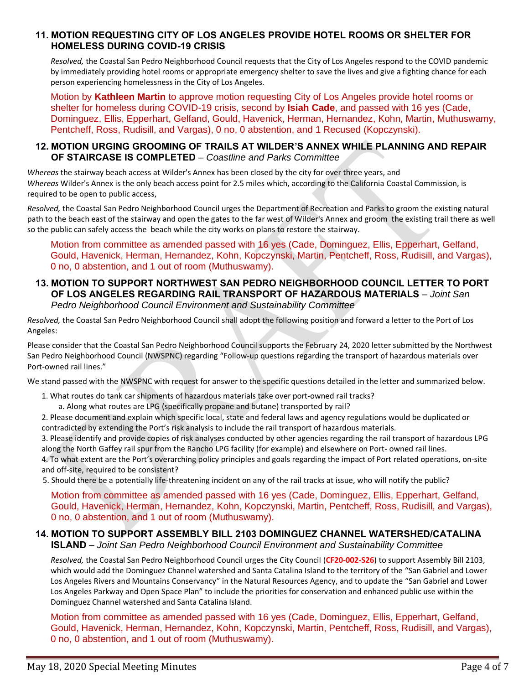#### **11. MOTION REQUESTING CITY OF LOS ANGELES PROVIDE HOTEL ROOMS OR SHELTER FOR HOMELESS DURING COVID-19 CRISIS**

*Resolved,* the Coastal San Pedro Neighborhood Council requests that the City of Los Angeles respond to the COVID pandemic by immediately providing hotel rooms or appropriate emergency shelter to save the lives and give a fighting chance for each person experiencing homelessness in the City of Los Angeles.

Motion by **Kathleen Martin** to approve motion requesting City of Los Angeles provide hotel rooms or shelter for homeless during COVID-19 crisis, second by **Isiah Cade**, and passed with 16 yes (Cade, Dominguez, Ellis, Epperhart, Gelfand, Gould, Havenick, Herman, Hernandez, Kohn, Martin, Muthuswamy, Pentcheff, Ross, Rudisill, and Vargas), 0 no, 0 abstention, and 1 Recused (Kopczynski).

#### **12. MOTION URGING GROOMING OF TRAILS AT WILDER'S ANNEX WHILE PLANNING AND REPAIR OF STAIRCASE IS COMPLETED** – *Coastline and Parks Committee*

*Whereas* the stairway beach access at Wilder's Annex has been closed by the city for over three years, and *Whereas* Wilder's Annex is the only beach access point for 2.5 miles which, according to the California Coastal Commission, is required to be open to public access,

*Resolved,* the Coastal San Pedro Neighborhood Council urges the Department of Recreation and Parks to groom the existing natural path to the beach east of the stairway and open the gates to the far west of Wilder's Annex and groom the existing trail there as well so the public can safely access the beach while the city works on plans to restore the stairway.

Motion from committee as amended passed with 16 yes (Cade, Dominguez, Ellis, Epperhart, Gelfand, Gould, Havenick, Herman, Hernandez, Kohn, Kopczynski, Martin, Pentcheff, Ross, Rudisill, and Vargas), 0 no, 0 abstention, and 1 out of room (Muthuswamy).

#### **13. MOTION TO SUPPORT NORTHWEST SAN PEDRO NEIGHBORHOOD COUNCIL LETTER TO PORT OF LOS ANGELES REGARDING RAIL TRANSPORT OF HAZARDOUS MATERIALS** – *Joint San Pedro Neighborhood Council Environment and Sustainability Committee*

*Resolved,* the Coastal San Pedro Neighborhood Council shall adopt the following position and forward a letter to the Port of Los Angeles:

Please consider that the Coastal San Pedro Neighborhood Council supports the February 24, 2020 letter submitted by the Northwest San Pedro Neighborhood Council (NWSPNC) regarding "Follow-up questions regarding the transport of hazardous materials over Port-owned rail lines."

We stand passed with the NWSPNC with request for answer to the specific questions detailed in the letter and summarized below.

- 1. What routes do tank car shipments of hazardous materials take over port-owned rail tracks?
	- a. Along what routes are LPG (specifically propane and butane) transported by rail?

2. Please document and explain which specific local, state and federal laws and agency regulations would be duplicated or contradicted by extending the Port's risk analysis to include the rail transport of hazardous materials.

3. Please identify and provide copies of risk analyses conducted by other agencies regarding the rail transport of hazardous LPG along the North Gaffey rail spur from the Rancho LPG facility (for example) and elsewhere on Port- owned rail lines.

4. To what extent are the Port's overarching policy principles and goals regarding the impact of Port related operations, on-site and off-site, required to be consistent?

5. Should there be a potentially life-threatening incident on any of the rail tracks at issue, who will notify the public?

Motion from committee as amended passed with 16 yes (Cade, Dominguez, Ellis, Epperhart, Gelfand, Gould, Havenick, Herman, Hernandez, Kohn, Kopczynski, Martin, Pentcheff, Ross, Rudisill, and Vargas), 0 no, 0 abstention, and 1 out of room (Muthuswamy).

#### **14. MOTION TO SUPPORT ASSEMBLY BILL 2103 DOMINGUEZ CHANNEL WATERSHED/CATALINA ISLAND** – *Joint San Pedro Neighborhood Council Environment and Sustainability Committee*

*Resolved,* the Coastal San Pedro Neighborhood Council urges the City Council (**CF20-002-S26**) to support Assembly Bill 2103, which would add the Dominguez Channel watershed and Santa Catalina Island to the territory of the "San Gabriel and Lower Los Angeles Rivers and Mountains Conservancy" in the Natural Resources Agency, and to update the "San Gabriel and Lower Los Angeles Parkway and Open Space Plan" to include the priorities for conservation and enhanced public use within the Dominguez Channel watershed and Santa Catalina Island.

Motion from committee as amended passed with 16 yes (Cade, Dominguez, Ellis, Epperhart, Gelfand, Gould, Havenick, Herman, Hernandez, Kohn, Kopczynski, Martin, Pentcheff, Ross, Rudisill, and Vargas), 0 no, 0 abstention, and 1 out of room (Muthuswamy).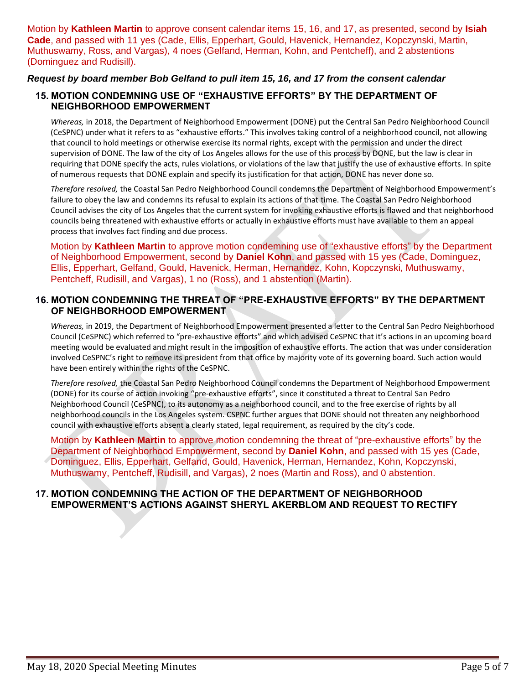Motion by **Kathleen Martin** to approve consent calendar items 15, 16, and 17, as presented, second by **Isiah Cade**, and passed with 11 yes (Cade, Ellis, Epperhart, Gould, Havenick, Hernandez, Kopczynski, Martin, Muthuswamy, Ross, and Vargas), 4 noes (Gelfand, Herman, Kohn, and Pentcheff), and 2 abstentions (Dominguez and Rudisill).

# *Request by board member Bob Gelfand to pull item 15, 16, and 17 from the consent calendar*

# **15. MOTION CONDEMNING USE OF "EXHAUSTIVE EFFORTS" BY THE DEPARTMENT OF NEIGHBORHOOD EMPOWERMENT**

*Whereas,* in 2018, the Department of Neighborhood Empowerment (DONE) put the Central San Pedro Neighborhood Council (CeSPNC) under what it refers to as "exhaustive efforts." This involves taking control of a neighborhood council, not allowing that council to hold meetings or otherwise exercise its normal rights, except with the permission and under the direct supervision of DONE. The law of the city of Los Angeles allows for the use of this process by DONE, but the law is clear in requiring that DONE specify the acts, rules violations, or violations of the law that justify the use of exhaustive efforts. In spite of numerous requests that DONE explain and specify its justification for that action, DONE has never done so.

*Therefore resolved,* the Coastal San Pedro Neighborhood Council condemns the Department of Neighborhood Empowerment's failure to obey the law and condemns its refusal to explain its actions of that time. The Coastal San Pedro Neighborhood Council advises the city of Los Angeles that the current system for invoking exhaustive efforts is flawed and that neighborhood councils being threatened with exhaustive efforts or actually in exhaustive efforts must have available to them an appeal process that involves fact finding and due process.

Motion by **Kathleen Martin** to approve motion condemning use of "exhaustive efforts" by the Department of Neighborhood Empowerment, second by **Daniel Kohn**, and passed with 15 yes (Cade, Dominguez, Ellis, Epperhart, Gelfand, Gould, Havenick, Herman, Hernandez, Kohn, Kopczynski, Muthuswamy, Pentcheff, Rudisill, and Vargas), 1 no (Ross), and 1 abstention (Martin).

# **16. MOTION CONDEMNING THE THREAT OF "PRE-EXHAUSTIVE EFFORTS" BY THE DEPARTMENT OF NEIGHBORHOOD EMPOWERMENT**

*Whereas,* in 2019, the Department of Neighborhood Empowerment presented a letter to the Central San Pedro Neighborhood Council (CeSPNC) which referred to "pre-exhaustive efforts" and which advised CeSPNC that it's actions in an upcoming board meeting would be evaluated and might result in the imposition of exhaustive efforts. The action that was under consideration involved CeSPNC's right to remove its president from that office by majority vote of its governing board. Such action would have been entirely within the rights of the CeSPNC.

*Therefore resolved,* the Coastal San Pedro Neighborhood Council condemns the Department of Neighborhood Empowerment (DONE) for its course of action invoking "pre-exhaustive efforts", since it constituted a threat to Central San Pedro Neighborhood Council (CeSPNC), to its autonomy as a neighborhood council, and to the free exercise of rights by all neighborhood councils in the Los Angeles system. CSPNC further argues that DONE should not threaten any neighborhood council with exhaustive efforts absent a clearly stated, legal requirement, as required by the city's code.

Motion by **Kathleen Martin** to approve motion condemning the threat of "pre-exhaustive efforts" by the Department of Neighborhood Empowerment, second by **Daniel Kohn**, and passed with 15 yes (Cade, Dominguez, Ellis, Epperhart, Gelfand, Gould, Havenick, Herman, Hernandez, Kohn, Kopczynski, Muthuswamy, Pentcheff, Rudisill, and Vargas), 2 noes (Martin and Ross), and 0 abstention.

# **17. MOTION CONDEMNING THE ACTION OF THE DEPARTMENT OF NEIGHBORHOOD EMPOWERMENT'S ACTIONS AGAINST SHERYL AKERBLOM AND REQUEST TO RECTIFY**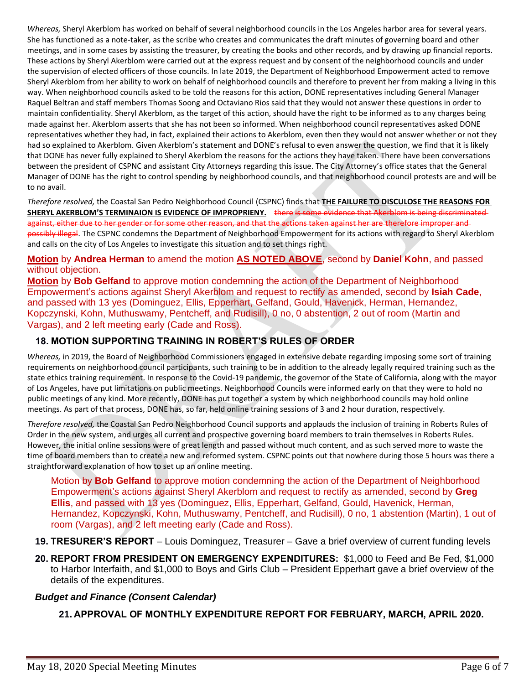*Whereas,* Sheryl Akerblom has worked on behalf of several neighborhood councils in the Los Angeles harbor area for several years. She has functioned as a note-taker, as the scribe who creates and communicates the draft minutes of governing board and other meetings, and in some cases by assisting the treasurer, by creating the books and other records, and by drawing up financial reports. These actions by Sheryl Akerblom were carried out at the express request and by consent of the neighborhood councils and under the supervision of elected officers of those councils. In late 2019, the Department of Neighborhood Empowerment acted to remove Sheryl Akerblom from her ability to work on behalf of neighborhood councils and therefore to prevent her from making a living in this way. When neighborhood councils asked to be told the reasons for this action, DONE representatives including General Manager Raquel Beltran and staff members Thomas Soong and Octaviano Rios said that they would not answer these questions in order to maintain confidentiality. Sheryl Akerblom, as the target of this action, should have the right to be informed as to any charges being made against her. Akerblom asserts that she has not been so informed. When neighborhood council representatives asked DONE representatives whether they had, in fact, explained their actions to Akerblom, even then they would not answer whether or not they had so explained to Akerblom. Given Akerblom's statement and DONE's refusal to even answer the question, we find that it is likely that DONE has never fully explained to Sheryl Akerblom the reasons for the actions they have taken. There have been conversations between the president of CSPNC and assistant City Attorneys regarding this issue. The City Attorney's office states that the General Manager of DONE has the right to control spending by neighborhood councils, and that neighborhood council protests are and will be to no avail.

*Therefore resolved,* the Coastal San Pedro Neighborhood Council (CSPNC) finds that **THE FAILURE TO DISCULOSE THE REASONS FOR SHERYL AKERBLOM'S TERMINAION IS EVIDENCE OF IMPROPRIENY.** there is some evidence that Akerblom is being discriminated against, either due to her gender or for some other reason, and that the actions taken against her are therefore improper and possibly illegal. The CSPNC condemns the Department of Neighborhood Empowerment for its actions with regard to Sheryl Akerblom and calls on the city of Los Angeles to investigate this situation and to set things right.

**Motion** by **Andrea Herman** to amend the motion **AS NOTED ABOVE**, second by **Daniel Kohn**, and passed without objection.

**Motion** by **Bob Gelfand** to approve motion condemning the action of the Department of Neighborhood Empowerment's actions against Sheryl Akerblom and request to rectify as amended, second by **Isiah Cade**, and passed with 13 yes (Dominguez, Ellis, Epperhart, Gelfand, Gould, Havenick, Herman, Hernandez, Kopczynski, Kohn, Muthuswamy, Pentcheff, and Rudisill), 0 no, 0 abstention, 2 out of room (Martin and Vargas), and 2 left meeting early (Cade and Ross).

# **18. MOTION SUPPORTING TRAINING IN ROBERT'S RULES OF ORDER**

*Whereas,* in 2019, the Board of Neighborhood Commissioners engaged in extensive debate regarding imposing some sort of training requirements on neighborhood council participants, such training to be in addition to the already legally required training such as the state ethics training requirement. In response to the Covid-19 pandemic, the governor of the State of California, along with the mayor of Los Angeles, have put limitations on public meetings. Neighborhood Councils were informed early on that they were to hold no public meetings of any kind. More recently, DONE has put together a system by which neighborhood councils may hold online meetings. As part of that process, DONE has, so far, held online training sessions of 3 and 2 hour duration, respectively.

*Therefore resolved,* the Coastal San Pedro Neighborhood Council supports and applauds the inclusion of training in Roberts Rules of Order in the new system, and urges all current and prospective governing board members to train themselves in Roberts Rules. However, the initial online sessions were of great length and passed without much content, and as such served more to waste the time of board members than to create a new and reformed system. CSPNC points out that nowhere during those 5 hours was there a straightforward explanation of how to set up an online meeting.

Motion by **Bob Gelfand** to approve motion condemning the action of the Department of Neighborhood Empowerment's actions against Sheryl Akerblom and request to rectify as amended, second by **Greg Ellis**, and passed with 13 yes (Dominguez, Ellis, Epperhart, Gelfand, Gould, Havenick, Herman, Hernandez, Kopczynski, Kohn, Muthuswamy, Pentcheff, and Rudisill), 0 no, 1 abstention (Martin), 1 out of room (Vargas), and 2 left meeting early (Cade and Ross).

- **19. TRESURER'S REPORT** Louis Dominguez, Treasurer Gave a brief overview of current funding levels
- **20. REPORT FROM PRESIDENT ON EMERGENCY EXPENDITURES:** \$1,000 to Feed and Be Fed, \$1,000 to Harbor Interfaith, and \$1,000 to Boys and Girls Club – President Epperhart gave a brief overview of the details of the expenditures.

# *Budget and Finance (Consent Calendar)*

**21. APPROVAL OF MONTHLY EXPENDITURE REPORT FOR FEBRUARY, MARCH, APRIL 2020.**